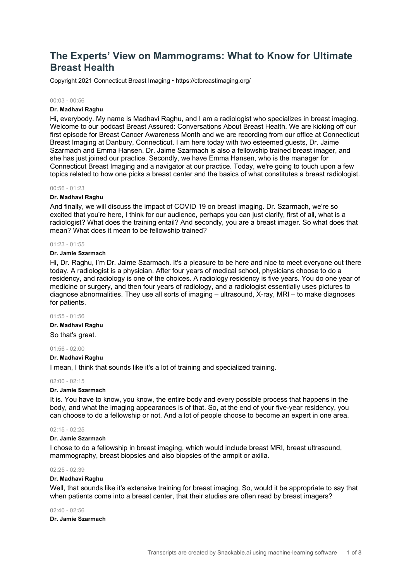# **The Experts' View on Mammograms: What to Know for Ultimate Breast Health**

Copyright 2021 Connecticut Breast Imaging • https://ctbreastimaging.org/

#### 00:03 - 00:56

### **Dr. Madhavi Raghu**

Hi, everybody. My name is Madhavi Raghu, and I am a radiologist who specializes in breast imaging. Welcome to our podcast Breast Assured: Conversations About Breast Health. We are kicking off our first episode for Breast Cancer Awareness Month and we are recording from our office at Connecticut Breast Imaging at Danbury, Connecticut. I am here today with two esteemed guests, Dr. Jaime Szarmach and Emma Hansen. Dr. Jaime Szarmach is also a fellowship trained breast imager, and she has just joined our practice. Secondly, we have Emma Hansen, who is the manager for Connecticut Breast Imaging and a navigator at our practice. Today, we're going to touch upon a few topics related to how one picks a breast center and the basics of what constitutes a breast radiologist.

### 00:56 - 01:23

### **Dr. Madhavi Raghu**

And finally, we will discuss the impact of COVID 19 on breast imaging. Dr. Szarmach, we're so excited that you're here, I think for our audience, perhaps you can just clarify, first of all, what is a radiologist? What does the training entail? And secondly, you are a breast imager. So what does that mean? What does it mean to be fellowship trained?

### 01:23 - 01:55

### **Dr. Jamie Szarmach**

Hi, Dr. Raghu, I'm Dr. Jaime Szarmach. It's a pleasure to be here and nice to meet everyone out there today. A radiologist is a physician. After four years of medical school, physicians choose to do a residency, and radiology is one of the choices. A radiology residency is five years. You do one year of medicine or surgery, and then four years of radiology, and a radiologist essentially uses pictures to diagnose abnormalities. They use all sorts of imaging – ultrasound, X-ray, MRI – to make diagnoses for patients.

#### 01:55 - 01:56

**Dr. Madhavi Raghu** So that's great.

## 01:56 - 02:00

### **Dr. Madhavi Raghu**

I mean, I think that sounds like it's a lot of training and specialized training.

### $02:00 - 02:15$

### **Dr. Jamie Szarmach**

It is. You have to know, you know, the entire body and every possible process that happens in the body, and what the imaging appearances is of that. So, at the end of your five-year residency, you can choose to do a fellowship or not. And a lot of people choose to become an expert in one area.

### 02:15 - 02:25

#### **Dr. Jamie Szarmach**

I chose to do a fellowship in breast imaging, which would include breast MRI, breast ultrasound, mammography, breast biopsies and also biopsies of the armpit or axilla.

### 02:25 - 02:39

### **Dr. Madhavi Raghu**

Well, that sounds like it's extensive training for breast imaging. So, would it be appropriate to say that when patients come into a breast center, that their studies are often read by breast imagers?

#### 02:40 - 02:56

### **Dr. Jamie Szarmach**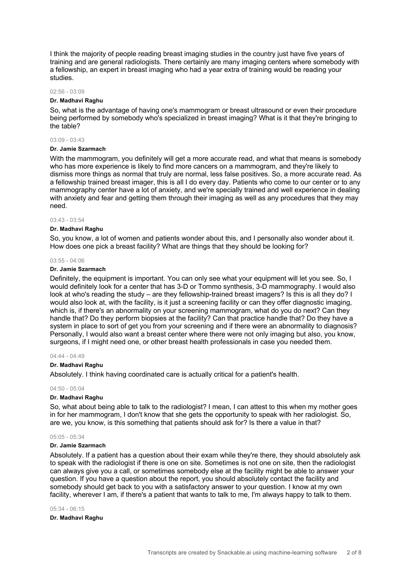I think the majority of people reading breast imaging studies in the country just have five years of training and are general radiologists. There certainly are many imaging centers where somebody with a fellowship, an expert in breast imaging who had a year extra of training would be reading your studies.

### 02:56 - 03:09

### **Dr. Madhavi Raghu**

So, what is the advantage of having one's mammogram or breast ultrasound or even their procedure being performed by somebody who's specialized in breast imaging? What is it that they're bringing to the table?

### 03:09 - 03:43

### **Dr. Jamie Szarmach**

With the mammogram, you definitely will get a more accurate read, and what that means is somebody who has more experience is likely to find more cancers on a mammogram, and they're likely to dismiss more things as normal that truly are normal, less false positives. So, a more accurate read. As a fellowship trained breast imager, this is all I do every day. Patients who come to our center or to any mammography center have a lot of anxiety, and we're specially trained and well experience in dealing with anxiety and fear and getting them through their imaging as well as any procedures that they may need.

#### 03:43 - 03:54

### **Dr. Madhavi Raghu**

So, you know, a lot of women and patients wonder about this, and I personally also wonder about it. How does one pick a breast facility? What are things that they should be looking for?

#### $03.55 - 04.06$

### **Dr. Jamie Szarmach**

Definitely, the equipment is important. You can only see what your equipment will let you see. So, I would definitely look for a center that has 3-D or Tommo synthesis, 3-D mammography. I would also look at who's reading the study – are they fellowship-trained breast imagers? Is this is all they do? I would also look at, with the facility, is it just a screening facility or can they offer diagnostic imaging, which is, if there's an abnormality on your screening mammogram, what do you do next? Can they handle that? Do they perform biopsies at the facility? Can that practice handle that? Do they have a system in place to sort of get you from your screening and if there were an abnormality to diagnosis? Personally, I would also want a breast center where there were not only imaging but also, you know, surgeons, if I might need one, or other breast health professionals in case you needed them.

#### 04:44 - 04:49

### **Dr. Madhavi Raghu**

Absolutely. I think having coordinated care is actually critical for a patient's health.

#### 04:50 - 05:04

### **Dr. Madhavi Raghu**

So, what about being able to talk to the radiologist? I mean, I can attest to this when my mother goes in for her mammogram, I don't know that she gets the opportunity to speak with her radiologist. So, are we, you know, is this something that patients should ask for? Is there a value in that?

### 05:05 - 05:34

#### **Dr. Jamie Szarmach**

Absolutely. If a patient has a question about their exam while they're there, they should absolutely ask to speak with the radiologist if there is one on site. Sometimes is not one on site, then the radiologist can always give you a call, or sometimes somebody else at the facility might be able to answer your question. If you have a question about the report, you should absolutely contact the facility and somebody should get back to you with a satisfactory answer to your question. I know at my own facility, wherever I am, if there's a patient that wants to talk to me, I'm always happy to talk to them.

05:34 - 06:15

**Dr. Madhavi Raghu**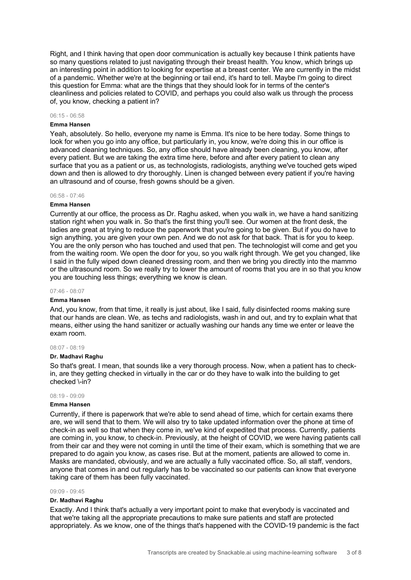Right, and I think having that open door communication is actually key because I think patients have so many questions related to just navigating through their breast health. You know, which brings up an interesting point in addition to looking for expertise at a breast center. We are currently in the midst of a pandemic. Whether we're at the beginning or tail end, it's hard to tell. Maybe I'm going to direct this question for Emma: what are the things that they should look for in terms of the center's cleanliness and policies related to COVID, and perhaps you could also walk us through the process of, you know, checking a patient in?

### 06:15 - 06:58

### **Emma Hansen**

Yeah, absolutely. So hello, everyone my name is Emma. It's nice to be here today. Some things to look for when you go into any office, but particularly in, you know, we're doing this in our office is advanced cleaning techniques. So, any office should have already been cleaning, you know, after every patient. But we are taking the extra time here, before and after every patient to clean any surface that you as a patient or us, as technologists, radiologists, anything we've touched gets wiped down and then is allowed to dry thoroughly. Linen is changed between every patient if you're having an ultrasound and of course, fresh gowns should be a given.

### 06:58 - 07:46

#### **Emma Hansen**

Currently at our office, the process as Dr. Raghu asked, when you walk in, we have a hand sanitizing station right when you walk in. So that's the first thing you'll see. Our women at the front desk, the ladies are great at trying to reduce the paperwork that you're going to be given. But if you do have to sign anything, you are given your own pen. And we do not ask for that back. That is for you to keep. You are the only person who has touched and used that pen. The technologist will come and get you from the waiting room. We open the door for you, so you walk right through. We get you changed, like I said in the fully wiped down cleaned dressing room, and then we bring you directly into the mammo or the ultrasound room. So we really try to lower the amount of rooms that you are in so that you know you are touching less things; everything we know is clean.

### 07:46 - 08:07

### **Emma Hansen**

And, you know, from that time, it really is just about, like I said, fully disinfected rooms making sure that our hands are clean. We, as techs and radiologists, wash in and out, and try to explain what that means, either using the hand sanitizer or actually washing our hands any time we enter or leave the exam room.

#### 08:07 - 08:19

#### **Dr. Madhavi Raghu**

So that's great. I mean, that sounds like a very thorough process. Now, when a patient has to checkin, are they getting checked in virtually in the car or do they have to walk into the building to get checked \-in?

#### 08:19 - 09:09

### **Emma Hansen**

Currently, if there is paperwork that we're able to send ahead of time, which for certain exams there are, we will send that to them. We will also try to take updated information over the phone at time of check-in as well so that when they come in, we've kind of expedited that process. Currently, patients are coming in, you know, to check-in. Previously, at the height of COVID, we were having patients call from their car and they were not coming in until the time of their exam, which is something that we are prepared to do again you know, as cases rise. But at the moment, patients are allowed to come in. Masks are mandated, obviously, and we are actually a fully vaccinated office. So, all staff, vendors, anyone that comes in and out regularly has to be vaccinated so our patients can know that everyone taking care of them has been fully vaccinated.

#### 09:09 - 09:45

#### **Dr. Madhavi Raghu**

Exactly. And I think that's actually a very important point to make that everybody is vaccinated and that we're taking all the appropriate precautions to make sure patients and staff are protected appropriately. As we know, one of the things that's happened with the COVID-19 pandemic is the fact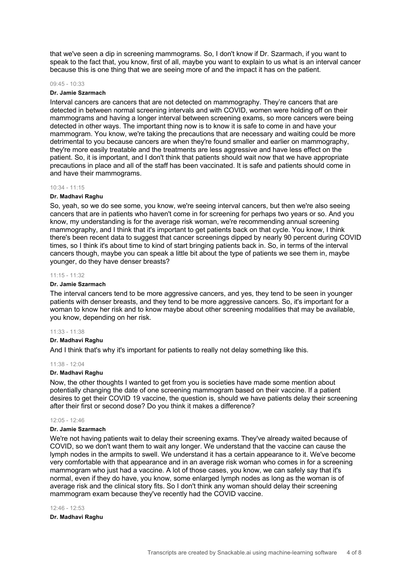that we've seen a dip in screening mammograms. So, I don't know if Dr. Szarmach, if you want to speak to the fact that, you know, first of all, maybe you want to explain to us what is an interval cancer because this is one thing that we are seeing more of and the impact it has on the patient.

#### 09:45 - 10:33

#### **Dr. Jamie Szarmach**

Interval cancers are cancers that are not detected on mammography. They're cancers that are detected in between normal screening intervals and with COVID, women were holding off on their mammograms and having a longer interval between screening exams, so more cancers were being detected in other ways. The important thing now is to know it is safe to come in and have your mammogram. You know, we're taking the precautions that are necessary and waiting could be more detrimental to you because cancers are when they're found smaller and earlier on mammography, they're more easily treatable and the treatments are less aggressive and have less effect on the patient. So, it is important, and I don't think that patients should wait now that we have appropriate precautions in place and all of the staff has been vaccinated. It is safe and patients should come in and have their mammograms.

### 10:34 - 11:15

#### **Dr. Madhavi Raghu**

So, yeah, so we do see some, you know, we're seeing interval cancers, but then we're also seeing cancers that are in patients who haven't come in for screening for perhaps two years or so. And you know, my understanding is for the average risk woman, we're recommending annual screening mammography, and I think that it's important to get patients back on that cycle. You know, I think there's been recent data to suggest that cancer screenings dipped by nearly 90 percent during COVID times, so I think it's about time to kind of start bringing patients back in. So, in terms of the interval cancers though, maybe you can speak a little bit about the type of patients we see them in, maybe younger, do they have denser breasts?

#### 11:15 - 11:32

#### **Dr. Jamie Szarmach**

The interval cancers tend to be more aggressive cancers, and yes, they tend to be seen in younger patients with denser breasts, and they tend to be more aggressive cancers. So, it's important for a woman to know her risk and to know maybe about other screening modalities that may be available, you know, depending on her risk.

#### 11:33 - 11:38

### **Dr. Madhavi Raghu**

And I think that's why it's important for patients to really not delay something like this.

#### 11:38 - 12:04

### **Dr. Madhavi Raghu**

Now, the other thoughts I wanted to get from you is societies have made some mention about potentially changing the date of one screening mammogram based on their vaccine. If a patient desires to get their COVID 19 vaccine, the question is, should we have patients delay their screening after their first or second dose? Do you think it makes a difference?

### $12.05 - 12.46$

### **Dr. Jamie Szarmach**

We're not having patients wait to delay their screening exams. They've already waited because of COVID, so we don't want them to wait any longer. We understand that the vaccine can cause the lymph nodes in the armpits to swell. We understand it has a certain appearance to it. We've become very comfortable with that appearance and in an average risk woman who comes in for a screening mammogram who just had a vaccine. A lot of those cases, you know, we can safely say that it's normal, even if they do have, you know, some enlarged lymph nodes as long as the woman is of average risk and the clinical story fits. So I don't think any woman should delay their screening mammogram exam because they've recently had the COVID vaccine.

#### 12:46 - 12:53

**Dr. Madhavi Raghu**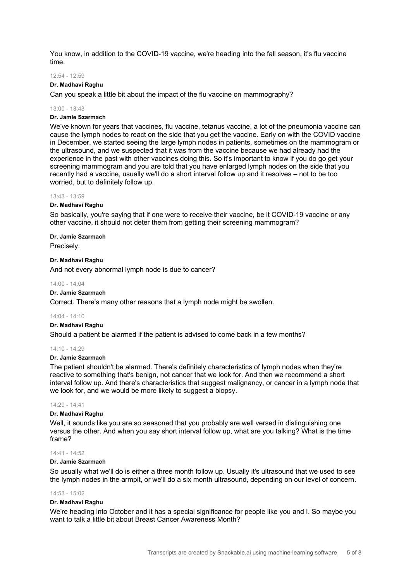You know, in addition to the COVID-19 vaccine, we're heading into the fall season, it's flu vaccine time.

#### 12:54 - 12:59

#### **Dr. Madhavi Raghu**

Can you speak a little bit about the impact of the flu vaccine on mammography?

### 13:00 - 13:43

### **Dr. Jamie Szarmach**

We've known for years that vaccines, flu vaccine, tetanus vaccine, a lot of the pneumonia vaccine can cause the lymph nodes to react on the side that you get the vaccine. Early on with the COVID vaccine in December, we started seeing the large lymph nodes in patients, sometimes on the mammogram or the ultrasound, and we suspected that it was from the vaccine because we had already had the experience in the past with other vaccines doing this. So it's important to know if you do go get your screening mammogram and you are told that you have enlarged lymph nodes on the side that you recently had a vaccine, usually we'll do a short interval follow up and it resolves – not to be too worried, but to definitely follow up.

#### 13:43 - 13:59

### **Dr. Madhavi Raghu**

So basically, you're saying that if one were to receive their vaccine, be it COVID-19 vaccine or any other vaccine, it should not deter them from getting their screening mammogram?

### **Dr. Jamie Szarmach**

Precisely.

### **Dr. Madhavi Raghu**

And not every abnormal lymph node is due to cancer?

#### 14:00 - 14:04

### **Dr. Jamie Szarmach**

Correct. There's many other reasons that a lymph node might be swollen.

#### 14:04 - 14:10

### **Dr. Madhavi Raghu**

Should a patient be alarmed if the patient is advised to come back in a few months?

#### 14:10 - 14:29

### **Dr. Jamie Szarmach**

The patient shouldn't be alarmed. There's definitely characteristics of lymph nodes when they're reactive to something that's benign, not cancer that we look for. And then we recommend a short interval follow up. And there's characteristics that suggest malignancy, or cancer in a lymph node that we look for, and we would be more likely to suggest a biopsy.

### 14:29 - 14:41

### **Dr. Madhavi Raghu**

Well, it sounds like you are so seasoned that you probably are well versed in distinguishing one versus the other. And when you say short interval follow up, what are you talking? What is the time frame?

#### 14:41 - 14:52

#### **Dr. Jamie Szarmach**

So usually what we'll do is either a three month follow up. Usually it's ultrasound that we used to see the lymph nodes in the armpit, or we'll do a six month ultrasound, depending on our level of concern.

### 14:53 - 15:02

### **Dr. Madhavi Raghu**

We're heading into October and it has a special significance for people like you and I. So maybe you want to talk a little bit about Breast Cancer Awareness Month?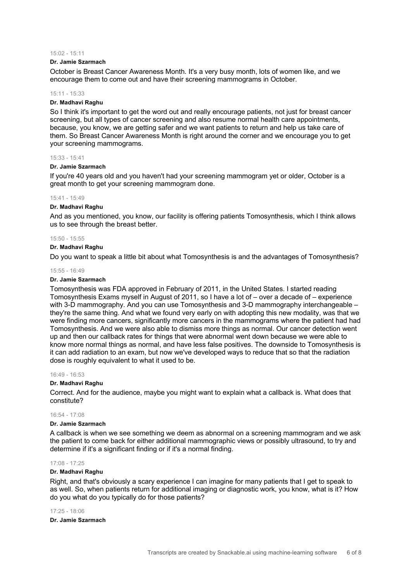### 15:02 - 15:11

### **Dr. Jamie Szarmach**

October is Breast Cancer Awareness Month. It's a very busy month, lots of women like, and we encourage them to come out and have their screening mammograms in October.

### $15:11 - 15:33$

### **Dr. Madhavi Raghu**

So I think it's important to get the word out and really encourage patients, not just for breast cancer screening, but all types of cancer screening and also resume normal health care appointments, because, you know, we are getting safer and we want patients to return and help us take care of them. So Breast Cancer Awareness Month is right around the corner and we encourage you to get your screening mammograms.

### 15:33 - 15:41

### **Dr. Jamie Szarmach**

If you're 40 years old and you haven't had your screening mammogram yet or older, October is a great month to get your screening mammogram done.

#### 15:41 - 15:49

#### **Dr. Madhavi Raghu**

And as you mentioned, you know, our facility is offering patients Tomosynthesis, which I think allows us to see through the breast better.

### 15:50 - 15:55

### **Dr. Madhavi Raghu**

Do you want to speak a little bit about what Tomosynthesis is and the advantages of Tomosynthesis?

#### 15:55 - 16:49

#### **Dr. Jamie Szarmach**

Tomosynthesis was FDA approved in February of 2011, in the United States. I started reading Tomosynthesis Exams myself in August of 2011, so I have a lot of – over a decade of – experience with 3-D mammography. And you can use Tomosynthesis and 3-D mammography interchangeable – they're the same thing. And what we found very early on with adopting this new modality, was that we were finding more cancers, significantly more cancers in the mammograms where the patient had had Tomosynthesis. And we were also able to dismiss more things as normal. Our cancer detection went up and then our callback rates for things that were abnormal went down because we were able to know more normal things as normal, and have less false positives. The downside to Tomosynthesis is it can add radiation to an exam, but now we've developed ways to reduce that so that the radiation dose is roughly equivalent to what it used to be.

#### 16:49 - 16:53

#### **Dr. Madhavi Raghu**

Correct. And for the audience, maybe you might want to explain what a callback is. What does that constitute?

#### $16:54 - 17:08$

#### **Dr. Jamie Szarmach**

A callback is when we see something we deem as abnormal on a screening mammogram and we ask the patient to come back for either additional mammographic views or possibly ultrasound, to try and determine if it's a significant finding or if it's a normal finding.

#### $17:08 - 17:25$

### **Dr. Madhavi Raghu**

Right, and that's obviously a scary experience I can imagine for many patients that I get to speak to as well. So, when patients return for additional imaging or diagnostic work, you know, what is it? How do you what do you typically do for those patients?

#### $17.25 - 18.06$

#### **Dr. Jamie Szarmach**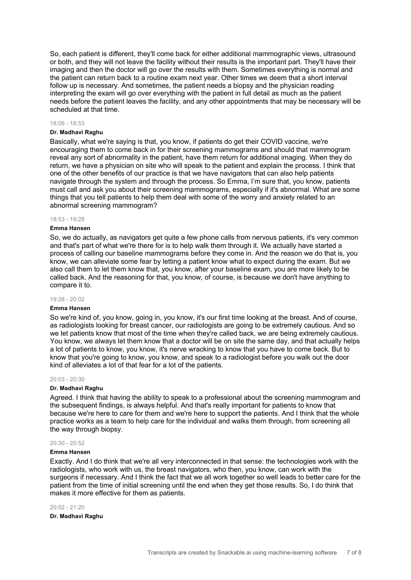So, each patient is different, they'll come back for either additional mammographic views, ultrasound or both, and they will not leave the facility without their results is the important part. They'll have their imaging and then the doctor will go over the results with them. Sometimes everything is normal and the patient can return back to a routine exam next year. Other times we deem that a short interval follow up is necessary. And sometimes, the patient needs a biopsy and the physician reading interpreting the exam will go over everything with the patient in full detail as much as the patient needs before the patient leaves the facility, and any other appointments that may be necessary will be scheduled at that time.

#### 18:06 - 18:53

### **Dr. Madhavi Raghu**

Basically, what we're saying is that, you know, if patients do get their COVID vaccine, we're encouraging them to come back in for their screening mammograms and should that mammogram reveal any sort of abnormality in the patient, have them return for additional imaging. When they do return, we have a physician on site who will speak to the patient and explain the process. I think that one of the other benefits of our practice is that we have navigators that can also help patients navigate through the system and through the process. So Emma, I'm sure that, you know, patients must call and ask you about their screening mammograms, especially if it's abnormal. What are some things that you tell patients to help them deal with some of the worry and anxiety related to an abnormal screening mammogram?

#### 18:53 - 19:28

#### **Emma Hansen**

So, we do actually, as navigators get quite a few phone calls from nervous patients, it's very common and that's part of what we're there for is to help walk them through it. We actually have started a process of calling our baseline mammograms before they come in. And the reason we do that is, you know, we can alleviate some fear by letting a patient know what to expect during the exam. But we also call them to let them know that, you know, after your baseline exam, you are more likely to be called back. And the reasoning for that, you know, of course, is because we don't have anything to compare it to.

### 19:28 - 20:02

### **Emma Hansen**

So we're kind of, you know, going in, you know, it's our first time looking at the breast. And of course, as radiologists looking for breast cancer, our radiologists are going to be extremely cautious. And so we let patients know that most of the time when they're called back, we are being extremely cautious. You know, we always let them know that a doctor will be on site the same day, and that actually helps a lot of patients to know, you know, it's nerve wracking to know that you have to come back. But to know that you're going to know, you know, and speak to a radiologist before you walk out the door kind of alleviates a lot of that fear for a lot of the patients.

#### 20:03 - 20:30

#### **Dr. Madhavi Raghu**

Agreed. I think that having the ability to speak to a professional about the screening mammogram and the subsequent findings, is always helpful. And that's really important for patients to know that because we're here to care for them and we're here to support the patients. And I think that the whole practice works as a team to help care for the individual and walks them through, from screening all the way through biopsy.

### 20:30 - 20:52

#### **Emma Hansen**

Exactly. And I do think that we're all very interconnected in that sense: the technologies work with the radiologists, who work with us, the breast navigators, who then, you know, can work with the surgeons if necessary. And I think the fact that we all work together so well leads to better care for the patient from the time of initial screening until the end when they get those results. So, I do think that makes it more effective for them as patients.

### 20:52 - 21:20

**Dr. Madhavi Raghu**